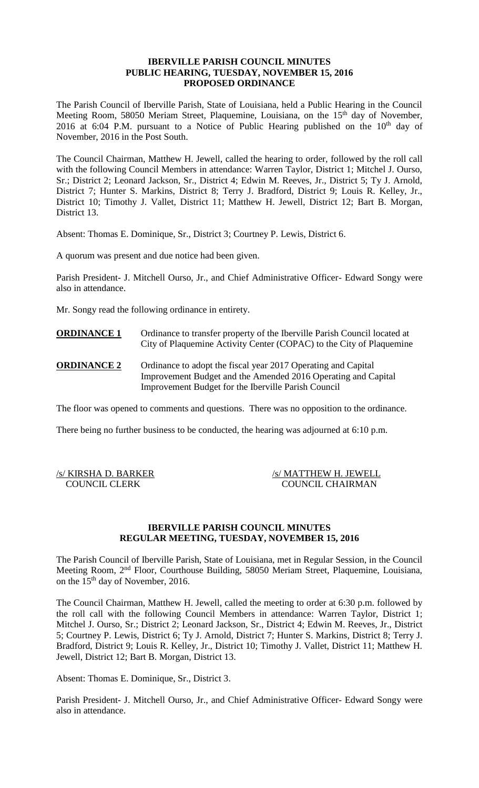### **IBERVILLE PARISH COUNCIL MINUTES PUBLIC HEARING, TUESDAY, NOVEMBER 15, 2016 PROPOSED ORDINANCE**

The Parish Council of Iberville Parish, State of Louisiana, held a Public Hearing in the Council Meeting Room, 58050 Meriam Street, Plaquemine, Louisiana, on the 15<sup>th</sup> day of November, 2016 at 6:04 P.M. pursuant to a Notice of Public Hearing published on the  $10<sup>th</sup>$  day of November, 2016 in the Post South.

The Council Chairman, Matthew H. Jewell, called the hearing to order, followed by the roll call with the following Council Members in attendance: Warren Taylor, District 1; Mitchel J. Ourso, Sr.; District 2; Leonard Jackson, Sr., District 4; Edwin M. Reeves, Jr., District 5; Ty J. Arnold, District 7; Hunter S. Markins, District 8; Terry J. Bradford, District 9; Louis R. Kelley, Jr., District 10; Timothy J. Vallet, District 11; Matthew H. Jewell, District 12; Bart B. Morgan, District 13.

Absent: Thomas E. Dominique, Sr., District 3; Courtney P. Lewis, District 6.

A quorum was present and due notice had been given.

Parish President- J. Mitchell Ourso, Jr., and Chief Administrative Officer- Edward Songy were also in attendance.

Mr. Songy read the following ordinance in entirety.

- **ORDINANCE 1** Ordinance to transfer property of the Iberville Parish Council located at City of Plaquemine Activity Center (COPAC) to the City of Plaquemine
- **ORDINANCE 2** Ordinance to adopt the fiscal year 2017 Operating and Capital Improvement Budget and the Amended 2016 Operating and Capital Improvement Budget for the Iberville Parish Council

The floor was opened to comments and questions. There was no opposition to the ordinance.

There being no further business to be conducted, the hearing was adjourned at 6:10 p.m.

| /s/ KIRSHA D. BARKER | /s/ MATTHEW H. JEWELL   |
|----------------------|-------------------------|
| <b>COUNCIL CLERK</b> | <b>COUNCIL CHAIRMAN</b> |

#### **IBERVILLE PARISH COUNCIL MINUTES REGULAR MEETING, TUESDAY, NOVEMBER 15, 2016**

The Parish Council of Iberville Parish, State of Louisiana, met in Regular Session, in the Council Meeting Room, 2nd Floor, Courthouse Building, 58050 Meriam Street, Plaquemine, Louisiana, on the 15<sup>th</sup> day of November, 2016.

The Council Chairman, Matthew H. Jewell, called the meeting to order at 6:30 p.m. followed by the roll call with the following Council Members in attendance: Warren Taylor, District 1; Mitchel J. Ourso, Sr.; District 2; Leonard Jackson, Sr., District 4; Edwin M. Reeves, Jr., District 5; Courtney P. Lewis, District 6; Ty J. Arnold, District 7; Hunter S. Markins, District 8; Terry J. Bradford, District 9; Louis R. Kelley, Jr., District 10; Timothy J. Vallet, District 11; Matthew H. Jewell, District 12; Bart B. Morgan, District 13.

Absent: Thomas E. Dominique, Sr., District 3.

Parish President- J. Mitchell Ourso, Jr., and Chief Administrative Officer- Edward Songy were also in attendance.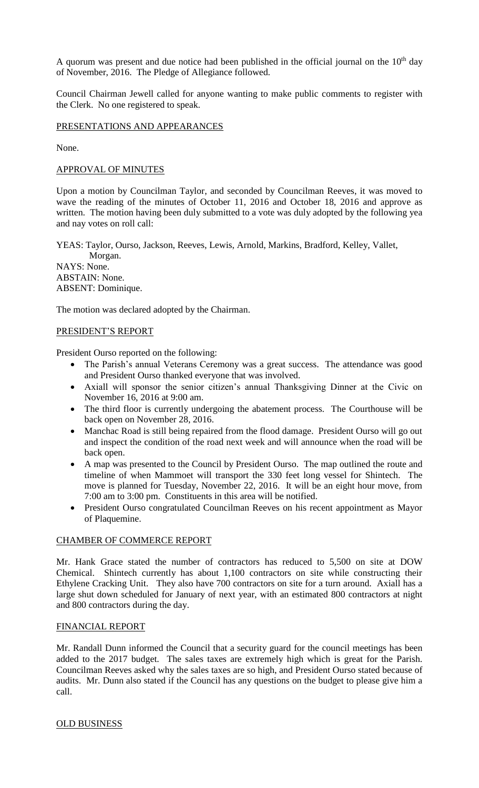A quorum was present and due notice had been published in the official journal on the  $10<sup>th</sup>$  day of November, 2016. The Pledge of Allegiance followed.

Council Chairman Jewell called for anyone wanting to make public comments to register with the Clerk. No one registered to speak.

PRESENTATIONS AND APPEARANCES

None.

### APPROVAL OF MINUTES

Upon a motion by Councilman Taylor, and seconded by Councilman Reeves, it was moved to wave the reading of the minutes of October 11, 2016 and October 18, 2016 and approve as written. The motion having been duly submitted to a vote was duly adopted by the following yea and nay votes on roll call:

YEAS: Taylor, Ourso, Jackson, Reeves, Lewis, Arnold, Markins, Bradford, Kelley, Vallet, Morgan. NAYS: None. ABSTAIN: None. ABSENT: Dominique.

The motion was declared adopted by the Chairman.

## PRESIDENT'S REPORT

President Ourso reported on the following:

- The Parish's annual Veterans Ceremony was a great success. The attendance was good and President Ourso thanked everyone that was involved.
- Axiall will sponsor the senior citizen's annual Thanksgiving Dinner at the Civic on November 16, 2016 at 9:00 am.
- The third floor is currently undergoing the abatement process. The Courthouse will be back open on November 28, 2016.
- Manchac Road is still being repaired from the flood damage. President Ourso will go out and inspect the condition of the road next week and will announce when the road will be back open.
- A map was presented to the Council by President Ourso. The map outlined the route and timeline of when Mammoet will transport the 330 feet long vessel for Shintech. The move is planned for Tuesday, November 22, 2016. It will be an eight hour move, from 7:00 am to 3:00 pm. Constituents in this area will be notified.
- President Ourso congratulated Councilman Reeves on his recent appointment as Mayor of Plaquemine.

## CHAMBER OF COMMERCE REPORT

Mr. Hank Grace stated the number of contractors has reduced to 5,500 on site at DOW Chemical. Shintech currently has about 1,100 contractors on site while constructing their Ethylene Cracking Unit. They also have 700 contractors on site for a turn around. Axiall has a large shut down scheduled for January of next year, with an estimated 800 contractors at night and 800 contractors during the day.

# FINANCIAL REPORT

Mr. Randall Dunn informed the Council that a security guard for the council meetings has been added to the 2017 budget. The sales taxes are extremely high which is great for the Parish. Councilman Reeves asked why the sales taxes are so high, and President Ourso stated because of audits. Mr. Dunn also stated if the Council has any questions on the budget to please give him a call.

#### OLD BUSINESS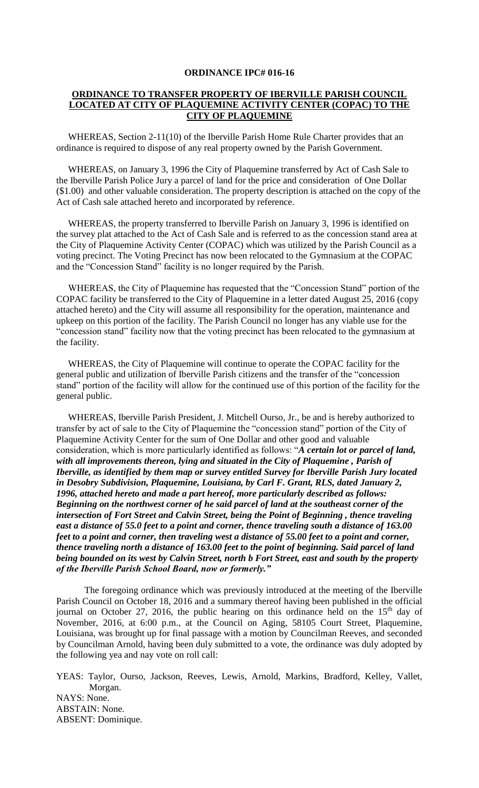#### **ORDINANCE IPC# 016-16**

## **ORDINANCE TO TRANSFER PROPERTY OF IBERVILLE PARISH COUNCIL LOCATED AT CITY OF PLAQUEMINE ACTIVITY CENTER (COPAC) TO THE CITY OF PLAQUEMINE**

 WHEREAS, Section 2-11(10) of the Iberville Parish Home Rule Charter provides that an ordinance is required to dispose of any real property owned by the Parish Government.

 WHEREAS, on January 3, 1996 the City of Plaquemine transferred by Act of Cash Sale to the Iberville Parish Police Jury a parcel of land for the price and consideration of One Dollar (\$1.00) and other valuable consideration. The property description is attached on the copy of the Act of Cash sale attached hereto and incorporated by reference.

 WHEREAS, the property transferred to Iberville Parish on January 3, 1996 is identified on the survey plat attached to the Act of Cash Sale and is referred to as the concession stand area at the City of Plaquemine Activity Center (COPAC) which was utilized by the Parish Council as a voting precinct. The Voting Precinct has now been relocated to the Gymnasium at the COPAC and the "Concession Stand" facility is no longer required by the Parish.

 WHEREAS, the City of Plaquemine has requested that the "Concession Stand" portion of the COPAC facility be transferred to the City of Plaquemine in a letter dated August 25, 2016 (copy attached hereto) and the City will assume all responsibility for the operation, maintenance and upkeep on this portion of the facility. The Parish Council no longer has any viable use for the "concession stand" facility now that the voting precinct has been relocated to the gymnasium at the facility.

 WHEREAS, the City of Plaquemine will continue to operate the COPAC facility for the general public and utilization of Iberville Parish citizens and the transfer of the "concession stand" portion of the facility will allow for the continued use of this portion of the facility for the general public.

 WHEREAS, Iberville Parish President, J. Mitchell Ourso, Jr., be and is hereby authorized to transfer by act of sale to the City of Plaquemine the "concession stand" portion of the City of Plaquemine Activity Center for the sum of One Dollar and other good and valuable consideration, which is more particularly identified as follows: "*A certain lot or parcel of land, with all improvements thereon, lying and situated in the City of Plaquemine , Parish of Iberville, as identified by them map or survey entitled Survey for Iberville Parish Jury located in Desobry Subdivision, Plaquemine, Louisiana, by Carl F. Grant, RLS, dated January 2, 1996, attached hereto and made a part hereof, more particularly described as follows: Beginning on the northwest corner of he said parcel of land at the southeast corner of the intersection of Fort Street and Calvin Street, being the Point of Beginning , thence traveling east a distance of 55.0 feet to a point and corner, thence traveling south a distance of 163.00 feet to a point and corner, then traveling west a distance of 55.00 feet to a point and corner, thence traveling north a distance of 163.00 feet to the point of beginning. Said parcel of land being bounded on its west by Calvin Street, north b Fort Street, east and south by the property of the Iberville Parish School Board, now or formerly."*

The foregoing ordinance which was previously introduced at the meeting of the Iberville Parish Council on October 18, 2016 and a summary thereof having been published in the official journal on October 27, 2016, the public hearing on this ordinance held on the  $15<sup>th</sup>$  day of November, 2016, at 6:00 p.m., at the Council on Aging, 58105 Court Street, Plaquemine, Louisiana, was brought up for final passage with a motion by Councilman Reeves, and seconded by Councilman Arnold, having been duly submitted to a vote, the ordinance was duly adopted by the following yea and nay vote on roll call:

YEAS: Taylor, Ourso, Jackson, Reeves, Lewis, Arnold, Markins, Bradford, Kelley, Vallet, Morgan. NAYS: None. ABSTAIN: None. ABSENT: Dominique.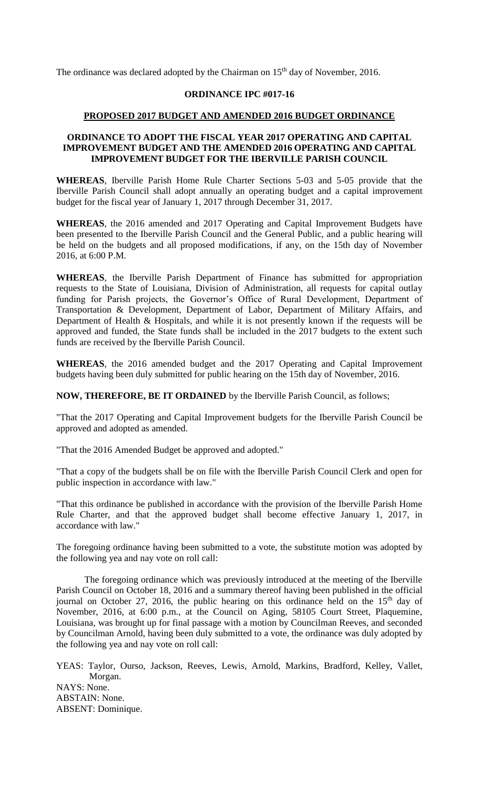The ordinance was declared adopted by the Chairman on  $15<sup>th</sup>$  day of November, 2016.

### **ORDINANCE IPC #017-16**

#### **PROPOSED 2017 BUDGET AND AMENDED 2016 BUDGET ORDINANCE**

### **ORDINANCE TO ADOPT THE FISCAL YEAR 2017 OPERATING AND CAPITAL IMPROVEMENT BUDGET AND THE AMENDED 2016 OPERATING AND CAPITAL IMPROVEMENT BUDGET FOR THE IBERVILLE PARISH COUNCIL**

**WHEREAS**, Iberville Parish Home Rule Charter Sections 5-03 and 5-05 provide that the Iberville Parish Council shall adopt annually an operating budget and a capital improvement budget for the fiscal year of January 1, 2017 through December 31, 2017.

**WHEREAS**, the 2016 amended and 2017 Operating and Capital Improvement Budgets have been presented to the Iberville Parish Council and the General Public, and a public hearing will be held on the budgets and all proposed modifications, if any, on the 15th day of November 2016, at 6:00 P.M.

**WHEREAS**, the Iberville Parish Department of Finance has submitted for appropriation requests to the State of Louisiana, Division of Administration, all requests for capital outlay funding for Parish projects, the Governor's Office of Rural Development, Department of Transportation & Development, Department of Labor, Department of Military Affairs, and Department of Health & Hospitals, and while it is not presently known if the requests will be approved and funded, the State funds shall be included in the 2017 budgets to the extent such funds are received by the Iberville Parish Council.

**WHEREAS**, the 2016 amended budget and the 2017 Operating and Capital Improvement budgets having been duly submitted for public hearing on the 15th day of November, 2016.

**NOW, THEREFORE, BE IT ORDAINED** by the Iberville Parish Council, as follows;

"That the 2017 Operating and Capital Improvement budgets for the Iberville Parish Council be approved and adopted as amended.

"That the 2016 Amended Budget be approved and adopted."

"That a copy of the budgets shall be on file with the Iberville Parish Council Clerk and open for public inspection in accordance with law."

"That this ordinance be published in accordance with the provision of the Iberville Parish Home Rule Charter, and that the approved budget shall become effective January 1, 2017, in accordance with law."

The foregoing ordinance having been submitted to a vote, the substitute motion was adopted by the following yea and nay vote on roll call:

The foregoing ordinance which was previously introduced at the meeting of the Iberville Parish Council on October 18, 2016 and a summary thereof having been published in the official journal on October 27, 2016, the public hearing on this ordinance held on the  $15<sup>th</sup>$  day of November, 2016, at 6:00 p.m., at the Council on Aging, 58105 Court Street, Plaquemine, Louisiana, was brought up for final passage with a motion by Councilman Reeves, and seconded by Councilman Arnold, having been duly submitted to a vote, the ordinance was duly adopted by the following yea and nay vote on roll call:

YEAS: Taylor, Ourso, Jackson, Reeves, Lewis, Arnold, Markins, Bradford, Kelley, Vallet, Morgan. NAYS: None. ABSTAIN: None. ABSENT: Dominique.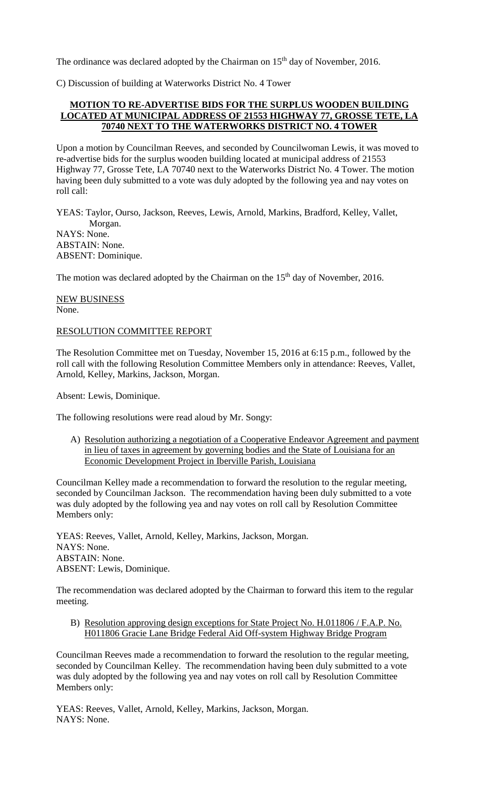The ordinance was declared adopted by the Chairman on  $15<sup>th</sup>$  day of November, 2016.

C) Discussion of building at Waterworks District No. 4 Tower

# **MOTION TO RE-ADVERTISE BIDS FOR THE SURPLUS WOODEN BUILDING LOCATED AT MUNICIPAL ADDRESS OF 21553 HIGHWAY 77, GROSSE TETE, LA 70740 NEXT TO THE WATERWORKS DISTRICT NO. 4 TOWER**

Upon a motion by Councilman Reeves, and seconded by Councilwoman Lewis, it was moved to re-advertise bids for the surplus wooden building located at municipal address of 21553 Highway 77, Grosse Tete, LA 70740 next to the Waterworks District No. 4 Tower. The motion having been duly submitted to a vote was duly adopted by the following yea and nay votes on roll call:

YEAS: Taylor, Ourso, Jackson, Reeves, Lewis, Arnold, Markins, Bradford, Kelley, Vallet, Morgan. NAYS: None. ABSTAIN: None. ABSENT: Dominique.

The motion was declared adopted by the Chairman on the 15<sup>th</sup> day of November, 2016.

NEW BUSINESS None.

#### RESOLUTION COMMITTEE REPORT

The Resolution Committee met on Tuesday, November 15, 2016 at 6:15 p.m., followed by the roll call with the following Resolution Committee Members only in attendance: Reeves, Vallet, Arnold, Kelley, Markins, Jackson, Morgan.

Absent: Lewis, Dominique.

The following resolutions were read aloud by Mr. Songy:

A) Resolution authorizing a negotiation of a Cooperative Endeavor Agreement and payment in lieu of taxes in agreement by governing bodies and the State of Louisiana for an Economic Development Project in Iberville Parish, Louisiana

Councilman Kelley made a recommendation to forward the resolution to the regular meeting, seconded by Councilman Jackson. The recommendation having been duly submitted to a vote was duly adopted by the following yea and nay votes on roll call by Resolution Committee Members only:

YEAS: Reeves, Vallet, Arnold, Kelley, Markins, Jackson, Morgan. NAYS: None. ABSTAIN: None. ABSENT: Lewis, Dominique.

The recommendation was declared adopted by the Chairman to forward this item to the regular meeting.

B) Resolution approving design exceptions for State Project No. H.011806 / F.A.P. No. H011806 Gracie Lane Bridge Federal Aid Off-system Highway Bridge Program

Councilman Reeves made a recommendation to forward the resolution to the regular meeting, seconded by Councilman Kelley. The recommendation having been duly submitted to a vote was duly adopted by the following yea and nay votes on roll call by Resolution Committee Members only:

YEAS: Reeves, Vallet, Arnold, Kelley, Markins, Jackson, Morgan. NAYS: None.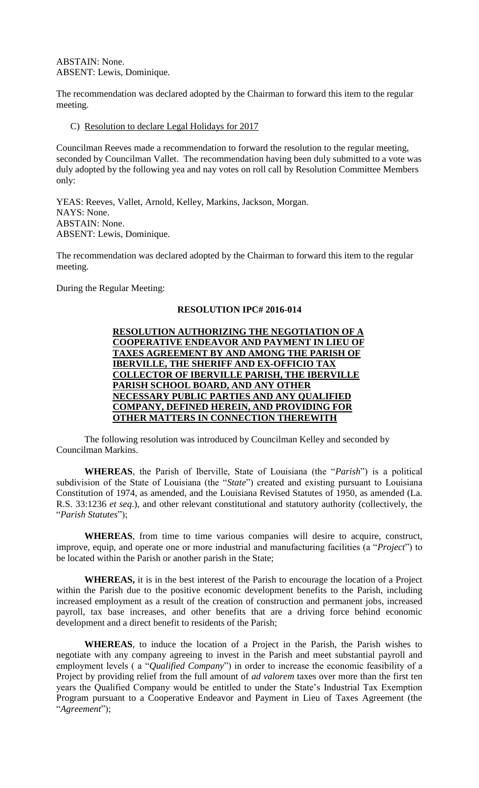ABSTAIN: None. ABSENT: Lewis, Dominique.

The recommendation was declared adopted by the Chairman to forward this item to the regular meeting.

C) Resolution to declare Legal Holidays for 2017

Councilman Reeves made a recommendation to forward the resolution to the regular meeting, seconded by Councilman Vallet. The recommendation having been duly submitted to a vote was duly adopted by the following yea and nay votes on roll call by Resolution Committee Members only:

YEAS: Reeves, Vallet, Arnold, Kelley, Markins, Jackson, Morgan. NAYS: None. ABSTAIN: None. ABSENT: Lewis, Dominique.

The recommendation was declared adopted by the Chairman to forward this item to the regular meeting.

During the Regular Meeting:

#### **RESOLUTION IPC# 2016-014**



 The following resolution was introduced by Councilman Kelley and seconded by Councilman Markins.

**WHEREAS**, the Parish of Iberville, State of Louisiana (the "*Parish*") is a political subdivision of the State of Louisiana (the "*State*") created and existing pursuant to Louisiana Constitution of 1974, as amended, and the Louisiana Revised Statutes of 1950, as amended (La. R.S. 33:1236 *et seq*.), and other relevant constitutional and statutory authority (collectively, the "*Parish Statutes*");

**WHEREAS**, from time to time various companies will desire to acquire, construct, improve, equip, and operate one or more industrial and manufacturing facilities (a "*Project*") to be located within the Parish or another parish in the State;

**WHEREAS,** it is in the best interest of the Parish to encourage the location of a Project within the Parish due to the positive economic development benefits to the Parish, including increased employment as a result of the creation of construction and permanent jobs, increased payroll, tax base increases, and other benefits that are a driving force behind economic development and a direct benefit to residents of the Parish;

**WHEREAS**, to induce the location of a Project in the Parish, the Parish wishes to negotiate with any company agreeing to invest in the Parish and meet substantial payroll and employment levels ( a "*Qualified Company*") in order to increase the economic feasibility of a Project by providing relief from the full amount of *ad valorem* taxes over more than the first ten years the Qualified Company would be entitled to under the State's Industrial Tax Exemption Program pursuant to a Cooperative Endeavor and Payment in Lieu of Taxes Agreement (the "*Agreement*");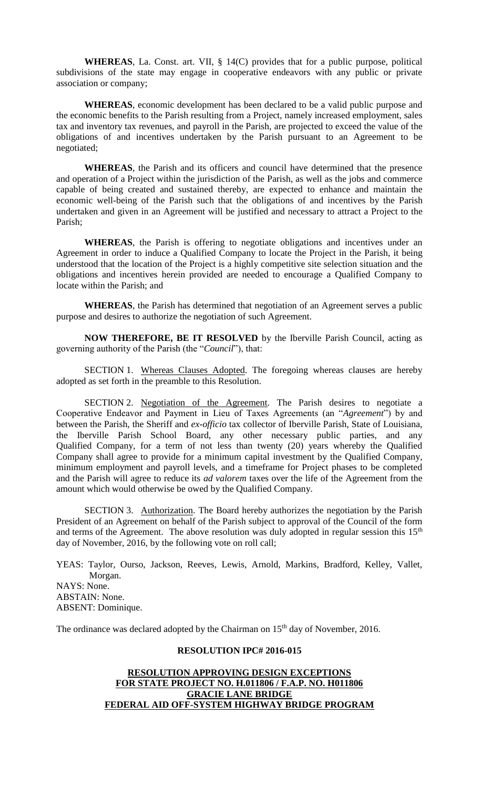**WHEREAS**, La. Const. art. VII, § 14(C) provides that for a public purpose, political subdivisions of the state may engage in cooperative endeavors with any public or private association or company;

**WHEREAS**, economic development has been declared to be a valid public purpose and the economic benefits to the Parish resulting from a Project, namely increased employment, sales tax and inventory tax revenues, and payroll in the Parish, are projected to exceed the value of the obligations of and incentives undertaken by the Parish pursuant to an Agreement to be negotiated;

**WHEREAS**, the Parish and its officers and council have determined that the presence and operation of a Project within the jurisdiction of the Parish, as well as the jobs and commerce capable of being created and sustained thereby, are expected to enhance and maintain the economic well-being of the Parish such that the obligations of and incentives by the Parish undertaken and given in an Agreement will be justified and necessary to attract a Project to the Parish;

**WHEREAS**, the Parish is offering to negotiate obligations and incentives under an Agreement in order to induce a Qualified Company to locate the Project in the Parish, it being understood that the location of the Project is a highly competitive site selection situation and the obligations and incentives herein provided are needed to encourage a Qualified Company to locate within the Parish; and

**WHEREAS**, the Parish has determined that negotiation of an Agreement serves a public purpose and desires to authorize the negotiation of such Agreement.

**NOW THEREFORE, BE IT RESOLVED** by the Iberville Parish Council, acting as governing authority of the Parish (the "*Council*"), that:

SECTION 1. Whereas Clauses Adopted. The foregoing whereas clauses are hereby adopted as set forth in the preamble to this Resolution.

SECTION 2. Negotiation of the Agreement. The Parish desires to negotiate a Cooperative Endeavor and Payment in Lieu of Taxes Agreements (an "*Agreement*") by and between the Parish, the Sheriff and *ex-officio* tax collector of Iberville Parish, State of Louisiana, the Iberville Parish School Board, any other necessary public parties, and any Qualified Company, for a term of not less than twenty (20) years whereby the Qualified Company shall agree to provide for a minimum capital investment by the Qualified Company, minimum employment and payroll levels, and a timeframe for Project phases to be completed and the Parish will agree to reduce its *ad valorem* taxes over the life of the Agreement from the amount which would otherwise be owed by the Qualified Company.

SECTION 3. Authorization. The Board hereby authorizes the negotiation by the Parish President of an Agreement on behalf of the Parish subject to approval of the Council of the form and terms of the Agreement. The above resolution was duly adopted in regular session this  $15<sup>th</sup>$ day of November, 2016, by the following vote on roll call;

YEAS: Taylor, Ourso, Jackson, Reeves, Lewis, Arnold, Markins, Bradford, Kelley, Vallet, Morgan. NAYS: None. ABSTAIN: None. ABSENT: Dominique.

The ordinance was declared adopted by the Chairman on 15<sup>th</sup> day of November, 2016.

#### **RESOLUTION IPC# 2016-015**

## **RESOLUTION APPROVING DESIGN EXCEPTIONS FOR STATE PROJECT NO. H.011806 / F.A.P. NO. H011806 GRACIE LANE BRIDGE FEDERAL AID OFF-SYSTEM HIGHWAY BRIDGE PROGRAM**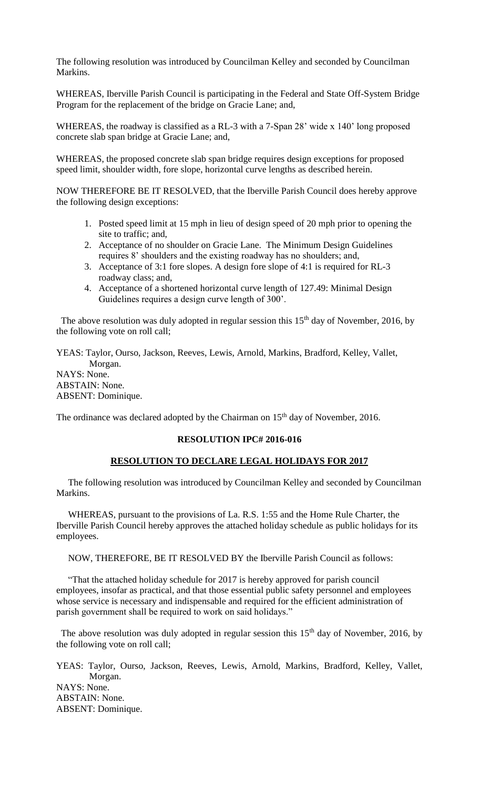The following resolution was introduced by Councilman Kelley and seconded by Councilman Markins.

WHEREAS, Iberville Parish Council is participating in the Federal and State Off-System Bridge Program for the replacement of the bridge on Gracie Lane; and,

WHEREAS, the roadway is classified as a RL-3 with a 7-Span 28' wide x 140' long proposed concrete slab span bridge at Gracie Lane; and,

WHEREAS, the proposed concrete slab span bridge requires design exceptions for proposed speed limit, shoulder width, fore slope, horizontal curve lengths as described herein.

NOW THEREFORE BE IT RESOLVED, that the Iberville Parish Council does hereby approve the following design exceptions:

- 1. Posted speed limit at 15 mph in lieu of design speed of 20 mph prior to opening the site to traffic; and,
- 2. Acceptance of no shoulder on Gracie Lane. The Minimum Design Guidelines requires 8' shoulders and the existing roadway has no shoulders; and,
- 3. Acceptance of 3:1 fore slopes. A design fore slope of 4:1 is required for RL-3 roadway class; and,
- 4. Acceptance of a shortened horizontal curve length of 127.49: Minimal Design Guidelines requires a design curve length of 300'.

The above resolution was duly adopted in regular session this  $15<sup>th</sup>$  day of November, 2016, by the following vote on roll call;

YEAS: Taylor, Ourso, Jackson, Reeves, Lewis, Arnold, Markins, Bradford, Kelley, Vallet, Morgan. NAYS: None. ABSTAIN: None. ABSENT: Dominique.

The ordinance was declared adopted by the Chairman on 15<sup>th</sup> day of November, 2016.

#### **RESOLUTION IPC# 2016-016**

## **RESOLUTION TO DECLARE LEGAL HOLIDAYS FOR 2017**

 The following resolution was introduced by Councilman Kelley and seconded by Councilman Markins.

 WHEREAS, pursuant to the provisions of La. R.S. 1:55 and the Home Rule Charter, the Iberville Parish Council hereby approves the attached holiday schedule as public holidays for its employees.

NOW, THEREFORE, BE IT RESOLVED BY the Iberville Parish Council as follows:

 "That the attached holiday schedule for 2017 is hereby approved for parish council employees, insofar as practical, and that those essential public safety personnel and employees whose service is necessary and indispensable and required for the efficient administration of parish government shall be required to work on said holidays."

The above resolution was duly adopted in regular session this  $15<sup>th</sup>$  day of November, 2016, by the following vote on roll call;

YEAS: Taylor, Ourso, Jackson, Reeves, Lewis, Arnold, Markins, Bradford, Kelley, Vallet, Morgan. NAYS: None. ABSTAIN: None. ABSENT: Dominique.